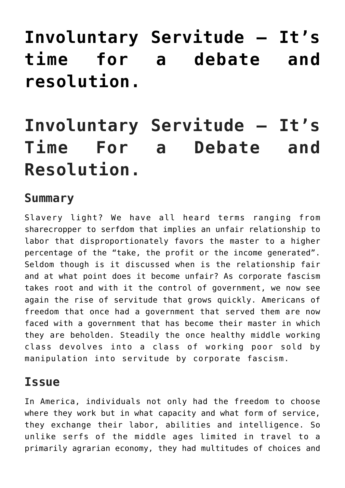# **[Involuntary Servitude – It's](https://freedomists.com/involuntary-servitude-its-time-for-a-debate-and-resolution/) [time for a debate and](https://freedomists.com/involuntary-servitude-its-time-for-a-debate-and-resolution/) [resolution.](https://freedomists.com/involuntary-servitude-its-time-for-a-debate-and-resolution/)**

# **Involuntary Servitude – It's Time For a Debate and Resolution.**

#### **Summary**

Slavery light? We have all heard terms ranging from sharecropper to serfdom that implies an unfair relationship to labor that disproportionately favors the master to a higher percentage of the "take, the profit or the income generated". Seldom though is it discussed when is the relationship fair and at what point does it become unfair? As corporate fascism takes root and with it the control of government, we now see again the rise of servitude that grows quickly. Americans of freedom that once had a government that served them are now faced with a government that has become their master in which they are beholden. Steadily the once healthy middle working class devolves into a class of working poor sold by manipulation into servitude by corporate fascism.

### **Issue**

In America, individuals not only had the freedom to choose where they work but in what capacity and what form of service, they exchange their labor, abilities and intelligence. So unlike serfs of the middle ages limited in travel to a primarily agrarian economy, they had multitudes of choices and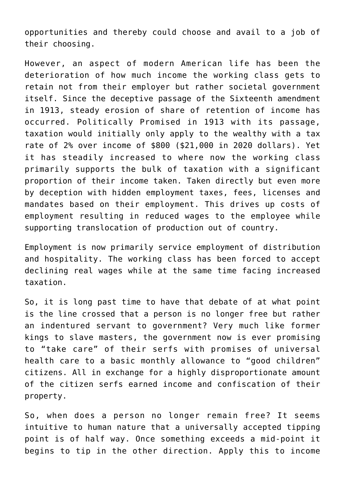opportunities and thereby could choose and avail to a job of their choosing.

However, an aspect of modern American life has been the deterioration of how much income the working class gets to retain not from their employer but rather societal government itself. Since the deceptive passage of the Sixteenth amendment in 1913, steady erosion of share of retention of income has occurred. Politically Promised in 1913 with its passage, taxation would initially only apply to the wealthy with a tax rate of 2% over income of \$800 (\$21,000 in 2020 dollars). Yet it has steadily increased to where now the working class primarily supports the bulk of taxation with a significant proportion of their income taken. Taken directly but even more by deception with hidden employment taxes, fees, licenses and mandates based on their employment. This drives up costs of employment resulting in reduced wages to the employee while supporting translocation of production out of country.

Employment is now primarily service employment of distribution and hospitality. The working class has been forced to accept declining real wages while at the same time facing increased taxation.

So, it is long past time to have that debate of at what point is the line crossed that a person is no longer free but rather an indentured servant to government? Very much like former kings to slave masters, the government now is ever promising to "take care" of their serfs with promises of universal health care to a basic monthly allowance to "good children" citizens. All in exchange for a highly disproportionate amount of the citizen serfs earned income and confiscation of their property.

So, when does a person no longer remain free? It seems intuitive to human nature that a universally accepted tipping point is of half way. Once something exceeds a mid-point it begins to tip in the other direction. Apply this to income